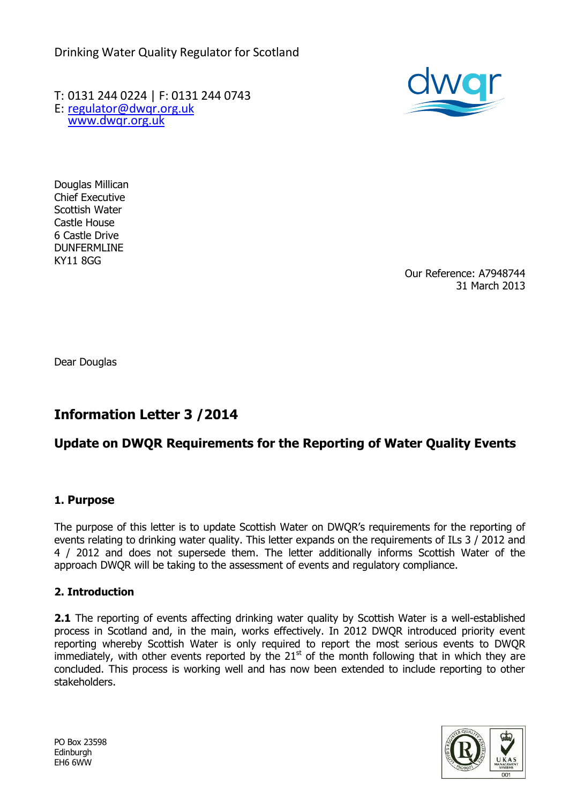Drinking Water Quality Regulator for Scotland

T: 0131 244 0224 | F: 0131 244 0743 E: [regulator@dwqr.org.uk](mailto:regulator@dwqr.org.uk)  [www.dwqr.org.uk](http://www.dwqr.org.uk/)



Douglas Millican Chief Executive Scottish Water Castle House 6 Castle Drive DUNFERMLINE KY11 8GG

Our Reference: A7948744 31 March 2013

Dear Douglas

# **Information Letter 3 /2014**

## **Update on DWQR Requirements for the Reporting of Water Quality Events**

## **1. Purpose**

The purpose of this letter is to update Scottish Water on DWQR's requirements for the reporting of events relating to drinking water quality. This letter expands on the requirements of ILs 3 / 2012 and 4 / 2012 and does not supersede them. The letter additionally informs Scottish Water of the approach DWQR will be taking to the assessment of events and regulatory compliance.

#### **2. Introduction**

**2.1** The reporting of events affecting drinking water quality by Scottish Water is a well-established process in Scotland and, in the main, works effectively. In 2012 DWQR introduced priority event reporting whereby Scottish Water is only required to report the most serious events to DWQR immediately, with other events reported by the  $21<sup>st</sup>$  of the month following that in which they are concluded. This process is working well and has now been extended to include reporting to other stakeholders.

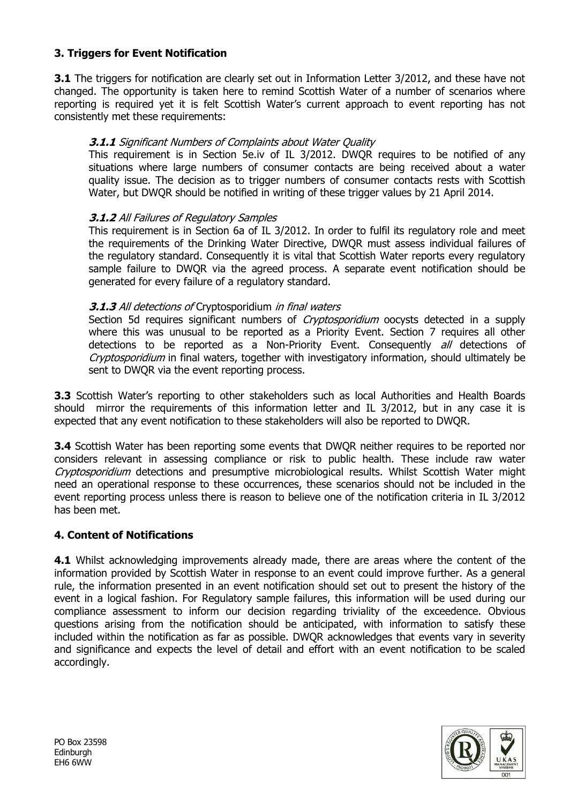## **3. Triggers for Event Notification**

**3.1** The triggers for notification are clearly set out in Information Letter 3/2012, and these have not changed. The opportunity is taken here to remind Scottish Water of a number of scenarios where reporting is required yet it is felt Scottish Water's current approach to event reporting has not consistently met these requirements:

## **3.1.1** Significant Numbers of Complaints about Water Quality

This requirement is in Section 5e.iv of IL 3/2012. DWQR requires to be notified of any situations where large numbers of consumer contacts are being received about a water quality issue. The decision as to trigger numbers of consumer contacts rests with Scottish Water, but DWQR should be notified in writing of these trigger values by 21 April 2014.

## **3.1.2** All Failures of Regulatory Samples

This requirement is in Section 6a of IL 3/2012. In order to fulfil its regulatory role and meet the requirements of the Drinking Water Directive, DWQR must assess individual failures of the regulatory standard. Consequently it is vital that Scottish Water reports every regulatory sample failure to DWQR via the agreed process. A separate event notification should be generated for every failure of a regulatory standard.

## **3.1.3** All detections of Cryptosporidium in final waters

Section 5d requires significant numbers of *Cryptosporidium* oocysts detected in a supply where this was unusual to be reported as a Priority Event. Section 7 requires all other detections to be reported as a Non-Priority Event. Consequently all detections of Cryptosporidium in final waters, together with investigatory information, should ultimately be sent to DWQR via the event reporting process.

**3.3** Scottish Water's reporting to other stakeholders such as local Authorities and Health Boards should mirror the requirements of this information letter and IL 3/2012, but in any case it is expected that any event notification to these stakeholders will also be reported to DWQR.

**3.4** Scottish Water has been reporting some events that DWQR neither requires to be reported nor considers relevant in assessing compliance or risk to public health. These include raw water Cryptosporidium detections and presumptive microbiological results. Whilst Scottish Water might need an operational response to these occurrences, these scenarios should not be included in the event reporting process unless there is reason to believe one of the notification criteria in IL 3/2012 has been met.

## **4. Content of Notifications**

**4.1** Whilst acknowledging improvements already made, there are areas where the content of the information provided by Scottish Water in response to an event could improve further. As a general rule, the information presented in an event notification should set out to present the history of the event in a logical fashion. For Regulatory sample failures, this information will be used during our compliance assessment to inform our decision regarding triviality of the exceedence. Obvious questions arising from the notification should be anticipated, with information to satisfy these included within the notification as far as possible. DWQR acknowledges that events vary in severity and significance and expects the level of detail and effort with an event notification to be scaled accordingly.



PO Box 23598 Edinburgh EH6 6WW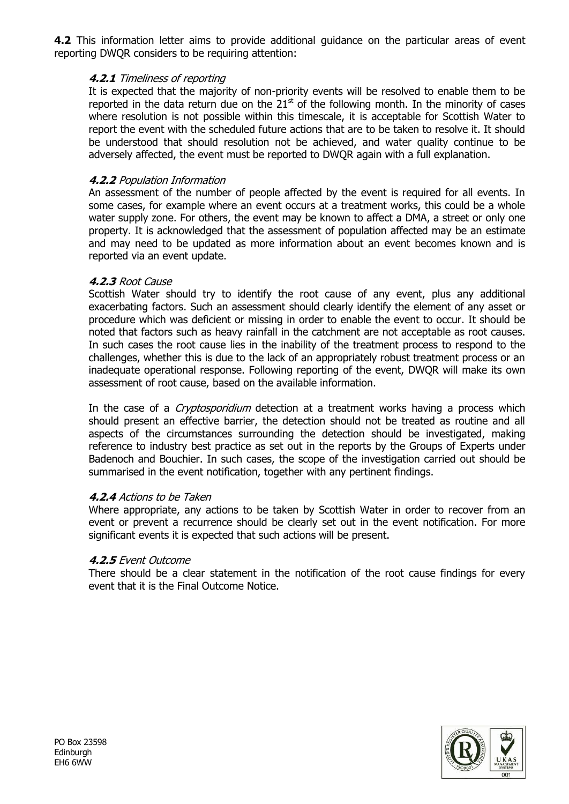**4.2** This information letter aims to provide additional guidance on the particular areas of event reporting DWQR considers to be requiring attention:

#### **4.2.1** Timeliness of reporting

It is expected that the majority of non-priority events will be resolved to enable them to be reported in the data return due on the  $21<sup>st</sup>$  of the following month. In the minority of cases where resolution is not possible within this timescale, it is acceptable for Scottish Water to report the event with the scheduled future actions that are to be taken to resolve it. It should be understood that should resolution not be achieved, and water quality continue to be adversely affected, the event must be reported to DWQR again with a full explanation.

#### **4.2.2** Population Information

An assessment of the number of people affected by the event is required for all events. In some cases, for example where an event occurs at a treatment works, this could be a whole water supply zone. For others, the event may be known to affect a DMA, a street or only one property. It is acknowledged that the assessment of population affected may be an estimate and may need to be updated as more information about an event becomes known and is reported via an event update.

#### **4.2.3** Root Cause

Scottish Water should try to identify the root cause of any event, plus any additional exacerbating factors. Such an assessment should clearly identify the element of any asset or procedure which was deficient or missing in order to enable the event to occur. It should be noted that factors such as heavy rainfall in the catchment are not acceptable as root causes. In such cases the root cause lies in the inability of the treatment process to respond to the challenges, whether this is due to the lack of an appropriately robust treatment process or an inadequate operational response. Following reporting of the event, DWQR will make its own assessment of root cause, based on the available information.

In the case of a *Cryptosporidium* detection at a treatment works having a process which should present an effective barrier, the detection should not be treated as routine and all aspects of the circumstances surrounding the detection should be investigated, making reference to industry best practice as set out in the reports by the Groups of Experts under Badenoch and Bouchier. In such cases, the scope of the investigation carried out should be summarised in the event notification, together with any pertinent findings.

#### **4.2.4** Actions to be Taken

Where appropriate, any actions to be taken by Scottish Water in order to recover from an event or prevent a recurrence should be clearly set out in the event notification. For more significant events it is expected that such actions will be present.

#### **4.2.5** Event Outcome

There should be a clear statement in the notification of the root cause findings for every event that it is the Final Outcome Notice.